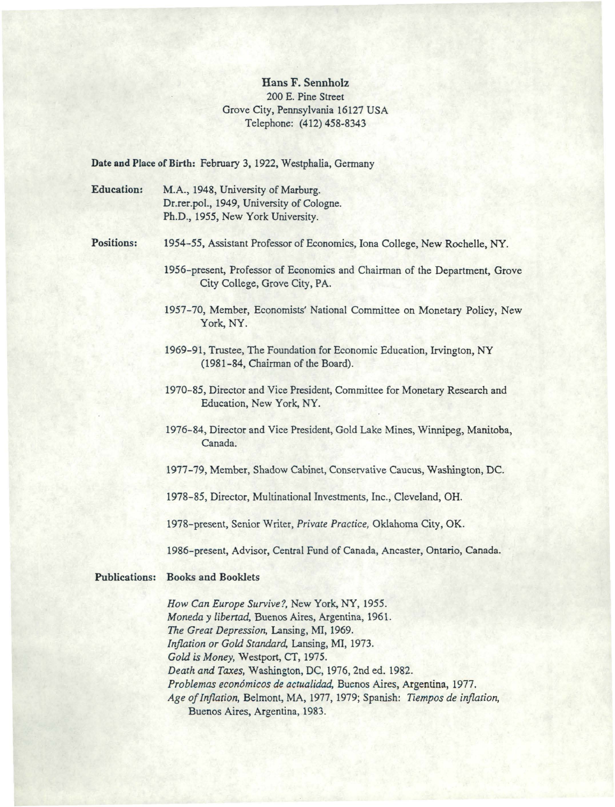## Hans F. Sennholz 200 E. Pine Street Grove City, Pennsylvania 16127 USA Telephone: (412) 458~8343

Date and Place of Birth: February 3, 1922, Westphalia, Germany

Education: M.A., 1948, University of Marburg. Dr.rer.pol., 1949, University of Cologne. Ph.D., 1955, New York University.

Positions: 1954-55, Assistant Professor of Economics, Iona College, New Rochelle, NY.

- 1956-present, Professor of Economics and Chairman of the Department, Grove City College, Grove City, PA.
- 1957-70, Member, Economists' National Committee on Monetary Policy, New York, NY.
- 1969-91, Trustee, The Foundation for Economic Education, Irvington, NY (1981-84, Chairman of the Board).
- 1970-85, Director and Vice President, Committee for Monetary Research and Education, New York, NY.
- 1976-84, Director and Vice President, Gold Lake Mines, Winnipeg, Manitoba, Canada.
- 1977-79, Member, Shadow Cabinet, Conservative Caucus, Washington, DC.
- 1978-85, Director, Multinational Investments, Inc., Cleveland, OH.
- 1978-present, Senior Writer, *Private Practice,* Oklahoma City, OK.

1986-present, Advisor, Central Fund of Canada, Ancaster, Ontario, Canada.

## Publications: Books and Booklets

*How Can Europe Survive?,* New York, NY, 1955. *Moneda y libertad,* Buenos Aires, Argentina, 1961. *The Great Depression,* Lansing, Ml, 1969. *Inflation or Gold Standard,* Lansing, Ml, 1973. *Gold* is *Money,* Westport, CT, 1975. *Death and Taxes,* Washington, DC, 1976, 2nd ed. 1982. *Problemas econ6micos de actualidad,* Buenos Aires, Argentina, 1977. *Age of Inflation,* Belmont, MA, 1977, 1979; Spanish: *Tiempos de inflation,*  Buenos Aires, Argentina, 1983.